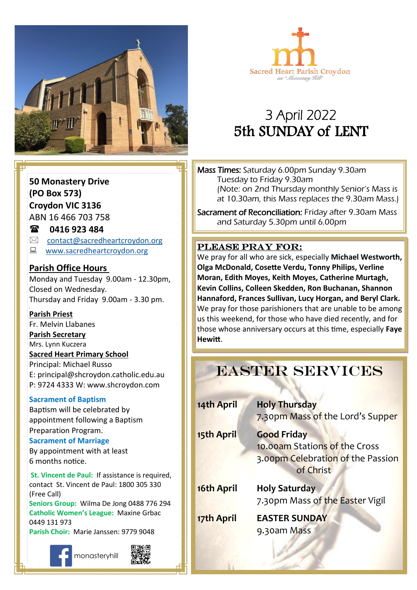



# 3 April 2022 5th SUNDAY of LENT

**50 Monastery Drive (PO Box 573) Croydon VIC 3136**

ABN 16 466 703 758

### **0416 923 484**

- $\boxtimes$  [contact@sacredheartcroydon.org](mailto:contact@sacredheartcroydon.org)
- **E** [www.sacredheartcroydon.org](http://www.sacredheartcroydon.org/)

### **Parish Office Hours**

Monday and Tuesday 9.00am - 12.30pm, Closed on Wednesday. Thursday and Friday 9.00am - 3.30 pm.

### **Parish Priest**

Fr. Melvin Llabanes

### **Parish Secretary**

Mrs. Lynn Kuczera

#### **Sacred Heart Primary School**

Principal: Michael Russo E: principal@shcroydon.catholic.edu.au P: 9724 4333 W: www.shcroydon.com

### **Sacrament of Baptism**

Baptism will be celebrated by appointment following a Baptism Preparation Program.

#### **Sacrament of Marriage**

By appointment with at least 6 months notice.

**St. Vincent de Paul: If assistance is required.** contact St. Vincent de Paul: 1800 305 330 (Free Call)

**Seniors Group:** Wilma De Jong 0488 776 294 **Catholic Women's League:** Maxine Grbac 0449 131 973 **Parish Choir:** Marie Janssen: 9779 9048







Mass Times: Saturday 6.00pm Sunday 9.30am Tuesday to Friday 9.30am (Note: on 2nd Thursday monthly Senior's Mass is at 10.30am, this Mass replaces the 9.30am Mass.)

Sacrament of Reconciliation: Friday after 9.30am Mass and Saturday 5.30pm until 6.00pm

### PLEASE PRAY FOR:

**Come, follow me. Moran, Edith Moyes, Keith Moyes, Catherine Murtagh,**  We pray for all who are sick, especially **Michael Westworth, Olga McDonald, Cosette Verdu, Tonny Philips, Verline Kevin Collins, Colleen Skedden, Ron Buchanan, Shannon Hannaford, Frances Sullivan, Lucy Horgan, and Beryl Clark.** We pray for those parishioners that are unable to be among us this weekend, for those who have died recently, and for those whose anniversary occurs at this time, especially **Faye Hewitt**.

# EASTER SERVICES

| 14th April | <b>Holy Thursday</b><br>7.30pm Mass of the Lord's Supper                                              |
|------------|-------------------------------------------------------------------------------------------------------|
| 15th April | <b>Good Friday</b><br>10.00am Stations of the Cross<br>3.00pm Celebration of the Passion<br>of Christ |
| 16th April | <b>Holy Saturday</b><br>7.30pm Mass of the Easter Vigil                                               |
| 17th April | <b>EASTER SUNDAY</b><br>9.30am Mass                                                                   |